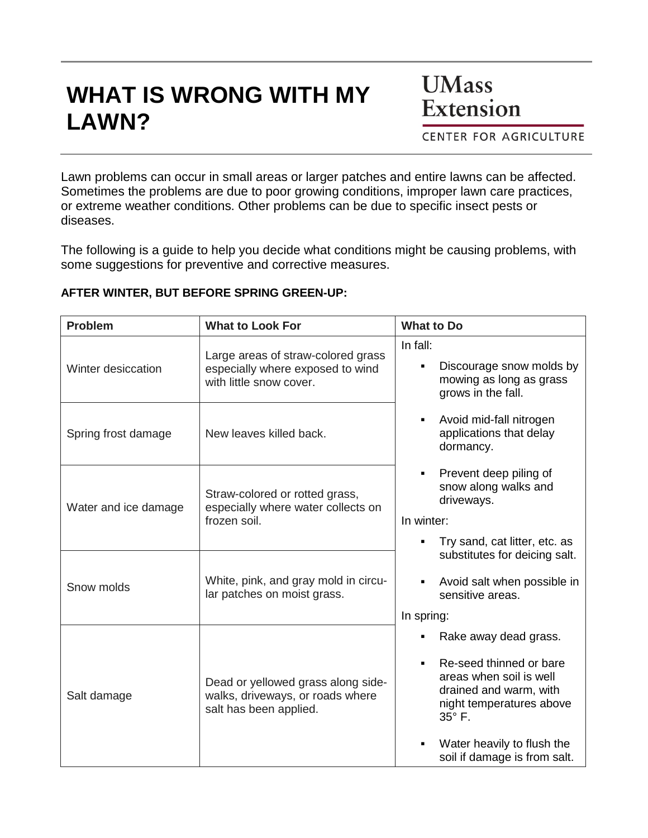# **WHAT IS WRONG WITH MY LAWN?**

**UMass** Extension

CENTER FOR AGRICULTURE

Lawn problems can occur in small areas or larger patches and entire lawns can be affected. Sometimes the problems are due to poor growing conditions, improper lawn care practices, or extreme weather conditions. Other problems can be due to specific insect pests or diseases.

The following is a guide to help you decide what conditions might be causing problems, with some suggestions for preventive and corrective measures.

| AFTER WINTER, BUT BEFORE SPRING GREEN-UP: |  |
|-------------------------------------------|--|
|                                           |  |

| <b>Problem</b>       | <b>What to Look For</b>                                                                           | <b>What to Do</b>                                                                                                                                                                                                                             |
|----------------------|---------------------------------------------------------------------------------------------------|-----------------------------------------------------------------------------------------------------------------------------------------------------------------------------------------------------------------------------------------------|
| Winter desiccation   | Large areas of straw-colored grass<br>especially where exposed to wind<br>with little snow cover. | In fall:<br>Discourage snow molds by<br>Ō.<br>mowing as long as grass<br>grows in the fall.                                                                                                                                                   |
| Spring frost damage  | New leaves killed back.                                                                           | Avoid mid-fall nitrogen<br>$\blacksquare$<br>applications that delay<br>dormancy.                                                                                                                                                             |
| Water and ice damage | Straw-colored or rotted grass,<br>especially where water collects on<br>frozen soil.              | Prevent deep piling of<br>$\blacksquare$<br>snow along walks and<br>driveways.<br>In winter:<br>Try sand, cat litter, etc. as                                                                                                                 |
| Snow molds           | White, pink, and gray mold in circu-<br>lar patches on moist grass.                               | substitutes for deicing salt.<br>Avoid salt when possible in<br>$\blacksquare$<br>sensitive areas.<br>In spring:                                                                                                                              |
| Salt damage          | Dead or yellowed grass along side-<br>walks, driveways, or roads where<br>salt has been applied.  | Rake away dead grass.<br>Re-seed thinned or bare<br>$\blacksquare$<br>areas when soil is well<br>drained and warm, with<br>night temperatures above<br>35° F.<br>Water heavily to flush the<br>$\blacksquare$<br>soil if damage is from salt. |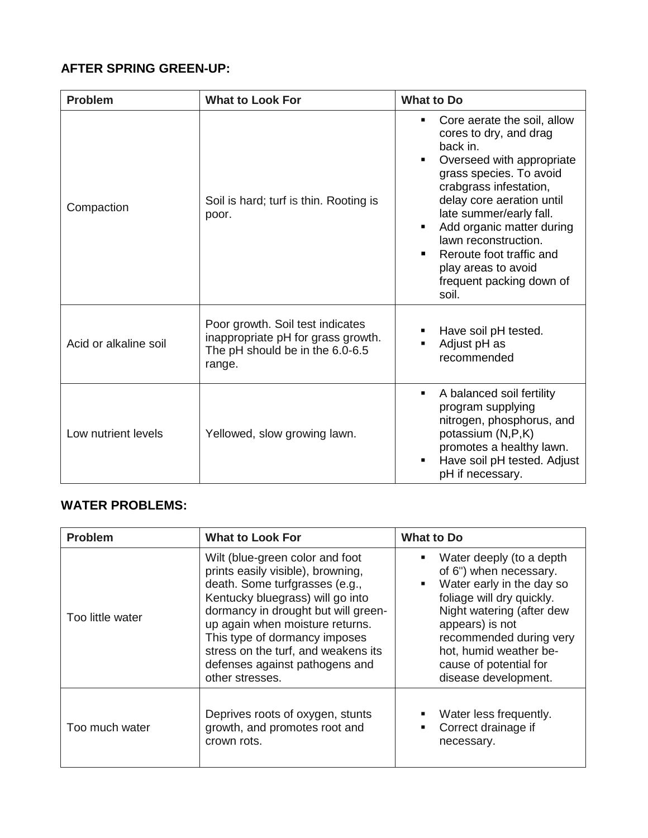## **AFTER SPRING GREEN-UP:**

| <b>Problem</b>        | <b>What to Look For</b>                                                                                             | <b>What to Do</b>                                                                                                                                                                                                                                                                                                                                                                                              |
|-----------------------|---------------------------------------------------------------------------------------------------------------------|----------------------------------------------------------------------------------------------------------------------------------------------------------------------------------------------------------------------------------------------------------------------------------------------------------------------------------------------------------------------------------------------------------------|
| Compaction            | Soil is hard; turf is thin. Rooting is<br>poor.                                                                     | Core aerate the soil, allow<br>$\blacksquare$<br>cores to dry, and drag<br>back in.<br>Overseed with appropriate<br>$\blacksquare$<br>grass species. To avoid<br>crabgrass infestation,<br>delay core aeration until<br>late summer/early fall.<br>Add organic matter during<br>$\blacksquare$<br>lawn reconstruction.<br>Reroute foot traffic and<br>play areas to avoid<br>frequent packing down of<br>soil. |
| Acid or alkaline soil | Poor growth. Soil test indicates<br>inappropriate pH for grass growth.<br>The pH should be in the 6.0-6.5<br>range. | Have soil pH tested.<br>Adjust pH as<br>$\blacksquare$<br>recommended                                                                                                                                                                                                                                                                                                                                          |
| Low nutrient levels   | Yellowed, slow growing lawn.                                                                                        | A balanced soil fertility<br>$\blacksquare$<br>program supplying<br>nitrogen, phosphorus, and<br>potassium (N,P,K)<br>promotes a healthy lawn.<br>Have soil pH tested. Adjust<br>$\blacksquare$<br>pH if necessary.                                                                                                                                                                                            |

## **WATER PROBLEMS:**

| <b>Problem</b>   | <b>What to Look For</b>                                                                                                                                                                                                                                                                                                                           | <b>What to Do</b>                                                                                                                                                                                                                                                                          |
|------------------|---------------------------------------------------------------------------------------------------------------------------------------------------------------------------------------------------------------------------------------------------------------------------------------------------------------------------------------------------|--------------------------------------------------------------------------------------------------------------------------------------------------------------------------------------------------------------------------------------------------------------------------------------------|
| Too little water | Wilt (blue-green color and foot<br>prints easily visible), browning,<br>death. Some turfgrasses (e.g.,<br>Kentucky bluegrass) will go into<br>dormancy in drought but will green-<br>up again when moisture returns.<br>This type of dormancy imposes<br>stress on the turf, and weakens its<br>defenses against pathogens and<br>other stresses. | Water deeply (to a depth<br>ш<br>of 6") when necessary.<br>Water early in the day so<br>$\blacksquare$<br>foliage will dry quickly.<br>Night watering (after dew<br>appears) is not<br>recommended during very<br>hot, humid weather be-<br>cause of potential for<br>disease development. |
| Too much water   | Deprives roots of oxygen, stunts<br>growth, and promotes root and<br>crown rots.                                                                                                                                                                                                                                                                  | Water less frequently.<br>п<br>Correct drainage if<br>ш<br>necessary.                                                                                                                                                                                                                      |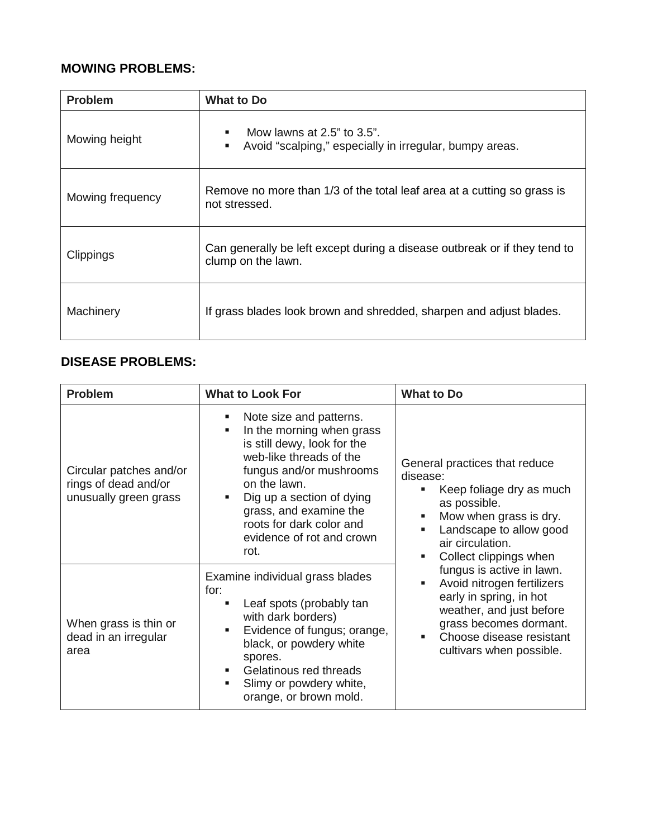#### **MOWING PROBLEMS:**

| <b>Problem</b>   | <b>What to Do</b>                                                                                     |
|------------------|-------------------------------------------------------------------------------------------------------|
| Mowing height    | Mow lawns at $2.5$ " to $3.5$ ".<br>٠<br>Avoid "scalping," especially in irregular, bumpy areas.<br>٠ |
| Mowing frequency | Remove no more than 1/3 of the total leaf area at a cutting so grass is<br>not stressed.              |
| Clippings        | Can generally be left except during a disease outbreak or if they tend to<br>clump on the lawn.       |
| Machinery        | If grass blades look brown and shredded, sharpen and adjust blades.                                   |

#### **DISEASE PROBLEMS:**

| Problem                                                                  | <b>What to Look For</b>                                                                                                                                                                                                                                                                     | <b>What to Do</b>                                                                                                                                                                                                                    |
|--------------------------------------------------------------------------|---------------------------------------------------------------------------------------------------------------------------------------------------------------------------------------------------------------------------------------------------------------------------------------------|--------------------------------------------------------------------------------------------------------------------------------------------------------------------------------------------------------------------------------------|
| Circular patches and/or<br>rings of dead and/or<br>unusually green grass | Note size and patterns.<br>٠<br>In the morning when grass<br>is still dewy, look for the<br>web-like threads of the<br>fungus and/or mushrooms<br>on the lawn.<br>Dig up a section of dying<br>٠<br>grass, and examine the<br>roots for dark color and<br>evidence of rot and crown<br>rot. | General practices that reduce<br>disease:<br>Keep foliage dry as much<br>as possible.<br>Mow when grass is dry.<br>٠<br>Landscape to allow good<br>٠<br>air circulation.<br>Collect clippings when<br>٠                              |
| When grass is thin or<br>dead in an irregular<br>area                    | Examine individual grass blades<br>for:<br>Leaf spots (probably tan<br>with dark borders)<br>Evidence of fungus; orange,<br>٠<br>black, or powdery white<br>spores.<br>Gelatinous red threads<br>Slimy or powdery white,<br>orange, or brown mold.                                          | fungus is active in lawn.<br>Avoid nitrogen fertilizers<br>$\blacksquare$<br>early in spring, in hot<br>weather, and just before<br>grass becomes dormant.<br>Choose disease resistant<br>$\blacksquare$<br>cultivars when possible. |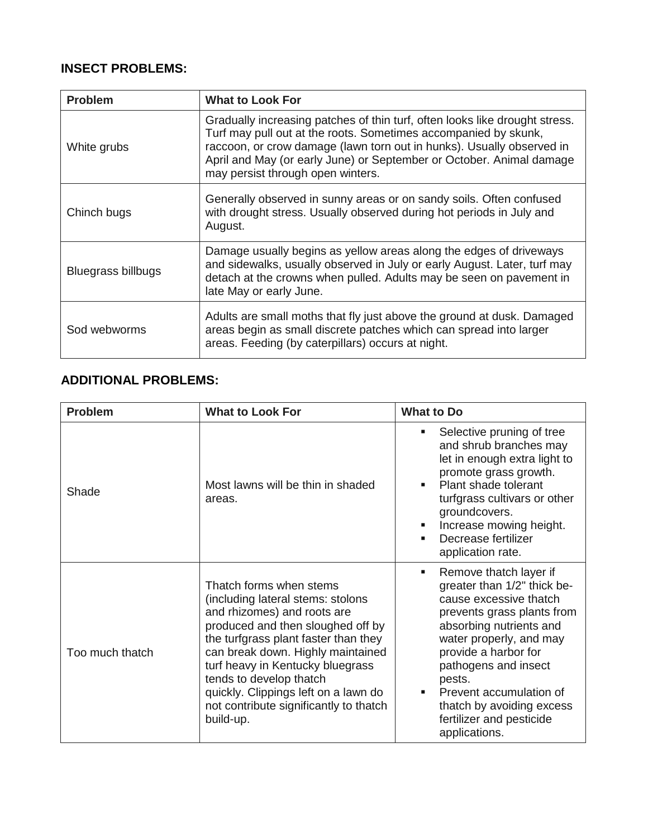#### **INSECT PROBLEMS:**

| <b>Problem</b>     | <b>What to Look For</b>                                                                                                                                                                                                                                                                                                              |  |
|--------------------|--------------------------------------------------------------------------------------------------------------------------------------------------------------------------------------------------------------------------------------------------------------------------------------------------------------------------------------|--|
| White grubs        | Gradually increasing patches of thin turf, often looks like drought stress.<br>Turf may pull out at the roots. Sometimes accompanied by skunk,<br>raccoon, or crow damage (lawn torn out in hunks). Usually observed in<br>April and May (or early June) or September or October. Animal damage<br>may persist through open winters. |  |
| Chinch bugs        | Generally observed in sunny areas or on sandy soils. Often confused<br>with drought stress. Usually observed during hot periods in July and<br>August.                                                                                                                                                                               |  |
| Bluegrass billbugs | Damage usually begins as yellow areas along the edges of driveways<br>and sidewalks, usually observed in July or early August. Later, turf may<br>detach at the crowns when pulled. Adults may be seen on pavement in<br>late May or early June.                                                                                     |  |
| Sod webworms       | Adults are small moths that fly just above the ground at dusk. Damaged<br>areas begin as small discrete patches which can spread into larger<br>areas. Feeding (by caterpillars) occurs at night.                                                                                                                                    |  |

# **ADDITIONAL PROBLEMS:**

| <b>Problem</b>  | <b>What to Look For</b>                                                                                                                                                                                                                                                                                                                                                     | <b>What to Do</b>                                                                                                                                                                                                                                                                                                                             |
|-----------------|-----------------------------------------------------------------------------------------------------------------------------------------------------------------------------------------------------------------------------------------------------------------------------------------------------------------------------------------------------------------------------|-----------------------------------------------------------------------------------------------------------------------------------------------------------------------------------------------------------------------------------------------------------------------------------------------------------------------------------------------|
| Shade           | Most lawns will be thin in shaded<br>areas.                                                                                                                                                                                                                                                                                                                                 | Selective pruning of tree<br>٠<br>and shrub branches may<br>let in enough extra light to<br>promote grass growth.<br>Plant shade tolerant<br>$\blacksquare$<br>turfgrass cultivars or other<br>groundcovers.<br>Increase mowing height.<br>٠<br>Decrease fertilizer<br>application rate.                                                      |
| Too much thatch | Thatch forms when stems<br>(including lateral stems: stolons<br>and rhizomes) and roots are<br>produced and then sloughed off by<br>the turfgrass plant faster than they<br>can break down. Highly maintained<br>turf heavy in Kentucky bluegrass<br>tends to develop thatch<br>quickly. Clippings left on a lawn do<br>not contribute significantly to thatch<br>build-up. | Remove thatch layer if<br>٠<br>greater than 1/2" thick be-<br>cause excessive thatch<br>prevents grass plants from<br>absorbing nutrients and<br>water properly, and may<br>provide a harbor for<br>pathogens and insect<br>pests.<br>Prevent accumulation of<br>п.<br>thatch by avoiding excess<br>fertilizer and pesticide<br>applications. |